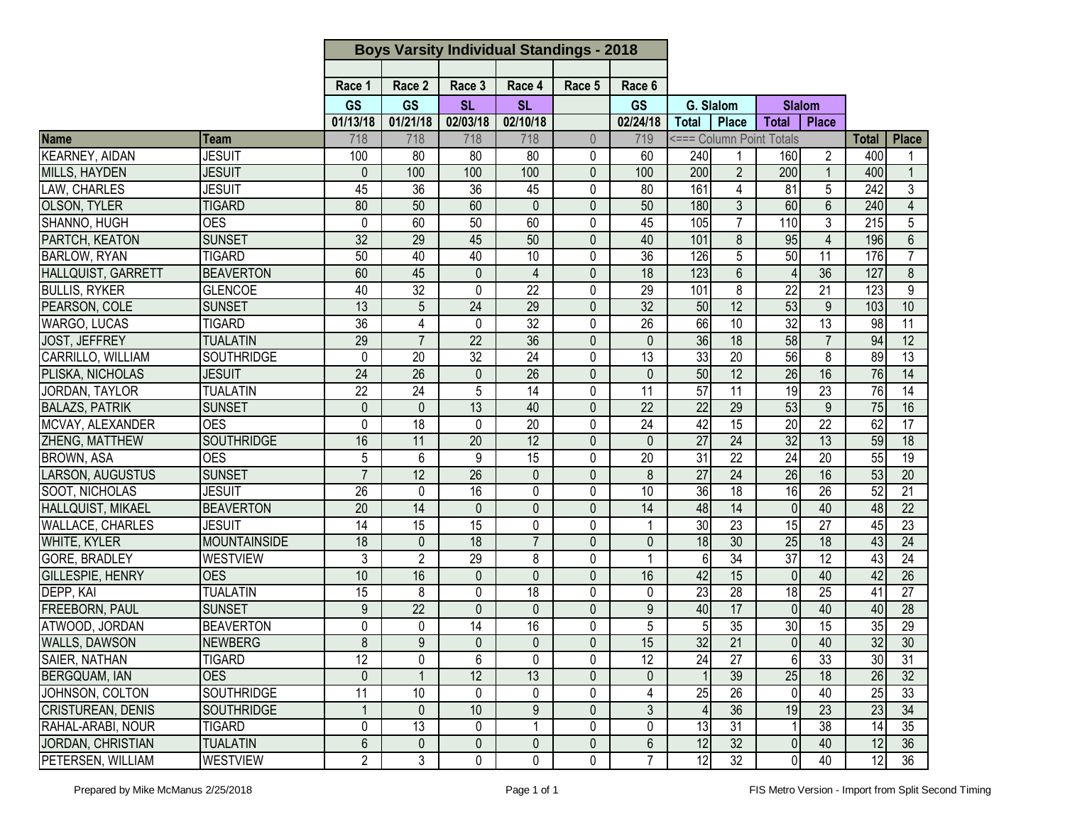| Race 3<br>Race 1<br>Race 2<br>Race 4<br>Race 5<br>Race 6<br><b>GS</b><br><b>GS</b><br><b>SL</b><br><b>SL</b><br><b>GS</b><br>G. Slalom<br><b>Slalom</b><br>01/13/18<br>01/21/18<br>02/03/18<br>02/10/18<br>02/24/18<br><b>Total</b><br><b>Place</b><br><b>Total</b><br><b>Place</b><br><b>Name</b><br>718<br>718<br>718<br>718<br>$\overline{0}$<br>719<br><=== Column Point Totals<br><b>Place</b><br><b>Total</b><br>Team<br><b>KEARNEY, AIDAN</b><br><b>JESUIT</b><br>240<br>100<br>80<br>80<br>0<br>60<br>80<br>160<br>$\mathbf{2}^{\prime}$<br>400<br>$\overline{2}$<br>100<br>200<br>200<br>MILLS, HAYDEN<br><b>JESUIT</b><br>0<br>100<br>100<br>0<br>100<br>400<br>$\mathbf{1}$<br>$\mathbf{1}$<br>LAW, CHARLES<br>$\overline{36}$<br>$\overline{36}$<br>45<br>161<br>$\overline{81}$<br>5<br>$\overline{242}$<br>3<br><b>JESUIT</b><br>45<br>0<br>80<br>$\overline{4}$ |
|--------------------------------------------------------------------------------------------------------------------------------------------------------------------------------------------------------------------------------------------------------------------------------------------------------------------------------------------------------------------------------------------------------------------------------------------------------------------------------------------------------------------------------------------------------------------------------------------------------------------------------------------------------------------------------------------------------------------------------------------------------------------------------------------------------------------------------------------------------------------------------|
|                                                                                                                                                                                                                                                                                                                                                                                                                                                                                                                                                                                                                                                                                                                                                                                                                                                                                |
|                                                                                                                                                                                                                                                                                                                                                                                                                                                                                                                                                                                                                                                                                                                                                                                                                                                                                |
|                                                                                                                                                                                                                                                                                                                                                                                                                                                                                                                                                                                                                                                                                                                                                                                                                                                                                |
|                                                                                                                                                                                                                                                                                                                                                                                                                                                                                                                                                                                                                                                                                                                                                                                                                                                                                |
|                                                                                                                                                                                                                                                                                                                                                                                                                                                                                                                                                                                                                                                                                                                                                                                                                                                                                |
|                                                                                                                                                                                                                                                                                                                                                                                                                                                                                                                                                                                                                                                                                                                                                                                                                                                                                |
|                                                                                                                                                                                                                                                                                                                                                                                                                                                                                                                                                                                                                                                                                                                                                                                                                                                                                |
|                                                                                                                                                                                                                                                                                                                                                                                                                                                                                                                                                                                                                                                                                                                                                                                                                                                                                |
| $\overline{6}$<br><b>OLSON, TYLER</b><br>80<br>$\mathbf 0$<br>180<br>3<br>60<br>240<br>$\overline{4}$<br><b>TIGARD</b><br>50<br>60<br>0<br>50                                                                                                                                                                                                                                                                                                                                                                                                                                                                                                                                                                                                                                                                                                                                  |
| SHANNO, HUGH<br>60<br>105<br>$\overline{7}$<br>110<br>3<br>215<br>5<br><b>OES</b><br>0<br>60<br>50<br>0<br>45                                                                                                                                                                                                                                                                                                                                                                                                                                                                                                                                                                                                                                                                                                                                                                  |
| PARTCH, KEATON<br>95<br><b>SUNSET</b><br>$\overline{32}$<br>29<br>45<br>50<br>$\mathbf 0$<br>40<br>101<br>8<br>196<br>$\overline{4}$<br>$6\phantom{1}$                                                                                                                                                                                                                                                                                                                                                                                                                                                                                                                                                                                                                                                                                                                         |
| <b>BARLOW, RYAN</b><br>$\overline{36}$<br>126<br>5<br>50<br>$\overline{11}$<br>$\overline{7}$<br><b>TIGARD</b><br>50<br>40<br>40<br>10<br>0<br>176                                                                                                                                                                                                                                                                                                                                                                                                                                                                                                                                                                                                                                                                                                                             |
| 36<br>60<br>45<br>$\mathbf 0$<br>$\overline{18}$<br>123<br>6<br>127<br>8<br>HALLQUIST, GARRETT<br><b>BEAVERTON</b><br>0<br>$\overline{4}$                                                                                                                                                                                                                                                                                                                                                                                                                                                                                                                                                                                                                                                                                                                                      |
| $\overline{21}$<br>$\overline{9}$<br>40<br>$\overline{32}$<br>$\overline{22}$<br>0<br>101<br>8<br>$\overline{22}$<br>$\mathbf 0$<br>29<br>123<br><b>BULLIS, RYKER</b><br><b>GLENCOE</b>                                                                                                                                                                                                                                                                                                                                                                                                                                                                                                                                                                                                                                                                                        |
| 29<br>32<br>53<br>13<br>$\overline{24}$<br>$\mathbf 0$<br>50<br>$\overline{12}$<br>9<br>10<br>PEARSON, COLE<br><b>SUNSET</b><br>5<br>103                                                                                                                                                                                                                                                                                                                                                                                                                                                                                                                                                                                                                                                                                                                                       |
| 32<br>$\overline{36}$<br>$\overline{32}$<br>$\overline{26}$<br>66<br>$\overline{13}$<br>$\overline{11}$<br><b>TIGARD</b><br>0<br>10<br>98<br><b>WARGO, LUCAS</b><br>4<br>$\mathbf{0}$                                                                                                                                                                                                                                                                                                                                                                                                                                                                                                                                                                                                                                                                                          |
| 29<br>36<br>58<br>36<br>18<br>94<br>12<br>$\overline{7}$<br>$\overline{22}$<br>$\mathbf 0$<br>$\overline{7}$<br><b>JOST, JEFFREY</b><br><b>TUALATIN</b><br>$\mathbf{0}$                                                                                                                                                                                                                                                                                                                                                                                                                                                                                                                                                                                                                                                                                                        |
| 56<br>$\overline{32}$<br>33<br>8<br>$\overline{13}$<br><b>SOUTHRIDGE</b><br>0<br>20<br>24<br>0<br>13<br>20<br>89<br>CARRILLO, WILLIAM                                                                                                                                                                                                                                                                                                                                                                                                                                                                                                                                                                                                                                                                                                                                          |
| 50<br>26<br>16<br>$\overline{24}$<br>$\overline{12}$<br>76<br>26<br>26<br>0<br>14<br>PLISKA, NICHOLAS<br><b>JESUIT</b><br>0<br>$\mathbf{0}$                                                                                                                                                                                                                                                                                                                                                                                                                                                                                                                                                                                                                                                                                                                                    |
| 57<br>23<br>$\overline{5}$<br>11<br>19<br>$\overline{22}$<br>$\overline{24}$<br>$\overline{14}$<br>0<br>11<br>$\overline{76}$<br>$\overline{14}$<br>JORDAN, TAYLOR<br><b>TUALATIN</b>                                                                                                                                                                                                                                                                                                                                                                                                                                                                                                                                                                                                                                                                                          |
| $\overline{22}$<br>53<br><b>BALAZS, PATRIK</b><br>13<br>22<br>29<br>9<br><b>SUNSET</b><br>0<br>$\Omega$<br>40<br>0<br>75<br>16                                                                                                                                                                                                                                                                                                                                                                                                                                                                                                                                                                                                                                                                                                                                                 |
| MCVAY, ALEXANDER<br>$\overline{20}$<br>42<br>$\overline{22}$<br>62<br>$\overline{17}$<br><b>OES</b><br>0<br>18<br>24<br>15<br>20<br>0<br>0                                                                                                                                                                                                                                                                                                                                                                                                                                                                                                                                                                                                                                                                                                                                     |
| $\overline{27}$<br><b>ZHENG, MATTHEW</b><br>12<br>24<br>32<br><b>SOUTHRIDGE</b><br>16<br>$\overline{20}$<br>$\overline{0}$<br>$\overline{13}$<br>59<br>$\overline{18}$<br>11<br>$\Omega$                                                                                                                                                                                                                                                                                                                                                                                                                                                                                                                                                                                                                                                                                       |
| 31<br>$\overline{22}$<br>24<br><b>BROWN, ASA</b><br><b>OES</b><br>5<br>9<br>$\overline{20}$<br>55<br>$\overline{19}$<br>6<br>15<br>0<br>20                                                                                                                                                                                                                                                                                                                                                                                                                                                                                                                                                                                                                                                                                                                                     |
| LARSON, AUGUSTUS<br>$\overline{7}$<br>$\overline{27}$<br>$\overline{26}$<br>16<br>53<br><b>SUNSET</b><br>12<br>26<br>0<br>0<br>8<br>24<br>20                                                                                                                                                                                                                                                                                                                                                                                                                                                                                                                                                                                                                                                                                                                                   |
| 36<br>26<br>SOOT, NICHOLAS<br>26<br>$\overline{0}$<br>18<br>16<br>52<br>21<br>$\mathbf 0$<br>16<br>0<br>10<br><b>JESUIT</b>                                                                                                                                                                                                                                                                                                                                                                                                                                                                                                                                                                                                                                                                                                                                                    |
| $\overline{20}$<br>$\overline{14}$<br>48<br>$\overline{14}$<br>40<br>$\overline{22}$<br>HALLQUIST, MIKAEL<br><b>BEAVERTON</b><br>14<br>$\mathbf{0}$<br>$\mathbf 0$<br>0<br>$\overline{0}$<br>48                                                                                                                                                                                                                                                                                                                                                                                                                                                                                                                                                                                                                                                                                |
| $\overline{30}$<br>$\overline{23}$<br>$\overline{27}$<br>$\overline{23}$<br>14<br>15<br>15<br>0<br>0<br>15<br><b>WALLACE, CHARLES</b><br><b>JESUIT</b><br>45                                                                                                                                                                                                                                                                                                                                                                                                                                                                                                                                                                                                                                                                                                                   |
| 25<br>18<br>$\overline{7}$<br>$\overline{0}$<br>18<br>24<br>$\overline{18}$<br>$\overline{18}$<br>$\overline{30}$<br>43<br><b>WHITE, KYLER</b><br><b>MOUNTAINSIDE</b><br>$\Omega$<br>$\mathbf{0}$                                                                                                                                                                                                                                                                                                                                                                                                                                                                                                                                                                                                                                                                              |
| 37<br>34<br>12<br>3<br>$\overline{29}$<br>8<br><b>WESTVIEW</b><br>$\overline{2}$<br>0<br>6<br>43<br>24<br><b>GORE, BRADLEY</b>                                                                                                                                                                                                                                                                                                                                                                                                                                                                                                                                                                                                                                                                                                                                                 |
| 10<br>$\mathbf 0$<br>$\mathbf 0$<br>42<br>40<br><b>OES</b><br>16<br>$\mathbf 0$<br>16<br>15<br>$\mathbf{0}$<br>42<br>26<br><b>GILLESPIE, HENRY</b>                                                                                                                                                                                                                                                                                                                                                                                                                                                                                                                                                                                                                                                                                                                             |
| $\overline{25}$<br>15<br>23<br>28<br>18<br>$\overline{27}$<br><b>DEPP, KAI</b><br>8<br>$\mathbf 0$<br>$\overline{18}$<br>0<br><b>TUALATIN</b><br>0<br>41                                                                                                                                                                                                                                                                                                                                                                                                                                                                                                                                                                                                                                                                                                                       |
| <b>FREEBORN, PAUL</b><br>9<br>$\overline{22}$<br>17<br><b>SUNSET</b><br>$\mathbf{0}$<br>0<br>0<br>9<br>40<br>$\Omega$<br>40<br>40<br>28                                                                                                                                                                                                                                                                                                                                                                                                                                                                                                                                                                                                                                                                                                                                        |
| ATWOOD, JORDAN<br>16<br>$\overline{35}$<br>30<br>$\overline{15}$<br>$\overline{29}$<br>0<br>0<br>14<br>0<br>5<br>5 <sub>l</sub><br>35<br><b>BEAVERTON</b>                                                                                                                                                                                                                                                                                                                                                                                                                                                                                                                                                                                                                                                                                                                      |
| <b>WALLS, DAWSON</b><br>21<br>32<br>$\overline{8}$<br>32<br> 0 <br>40<br>30<br><b>NEWBERG</b><br>$\overline{9}$<br>$\overline{0}$<br>$\overline{0}$<br>$\overline{0}$<br>15                                                                                                                                                                                                                                                                                                                                                                                                                                                                                                                                                                                                                                                                                                    |
| SAIER, NATHAN<br>$\overline{12}$<br>$\overline{12}$<br>$\overline{24}$<br>$\overline{27}$<br>$6 \mid$<br>33<br>$\overline{30}$<br>$\overline{31}$<br>0<br>6<br>0<br><b>TIGARD</b><br>0                                                                                                                                                                                                                                                                                                                                                                                                                                                                                                                                                                                                                                                                                         |
| 12<br>13<br>$\overline{18}$<br><b>BERGQUAM, IAN</b><br><b>OES</b><br>0<br>0<br>39<br>25<br>26<br>32<br>0                                                                                                                                                                                                                                                                                                                                                                                                                                                                                                                                                                                                                                                                                                                                                                       |
| 11<br>10<br>0<br>25<br>26<br>40<br>33<br>JOHNSON, COLTON<br>SOUTHRIDGE<br>0<br>0<br>4<br>$\mathbf 0$<br>25                                                                                                                                                                                                                                                                                                                                                                                                                                                                                                                                                                                                                                                                                                                                                                     |
| $\boldsymbol{9}$<br>$\overline{36}$<br>$\overline{23}$<br>$\overline{23}$<br>$\overline{34}$<br>10<br>$\mathbf 0$<br>3<br>19<br><b>CRISTUREAN, DENIS</b><br><b>SOUTHRIDGE</b><br>$\mathbf{1}$<br>$\mathbf 0$<br>$\overline{4}$                                                                                                                                                                                                                                                                                                                                                                                                                                                                                                                                                                                                                                                 |
| 0<br>13<br>0<br>13<br>31<br>38<br>14<br>35<br><b>TIGARD</b><br>0<br>0<br>RAHAL-ARABI, NOUR                                                                                                                                                                                                                                                                                                                                                                                                                                                                                                                                                                                                                                                                                                                                                                                     |
| 6<br>$\mathbf 0$<br>0<br>12<br>32<br>40<br>12<br>36<br>JORDAN, CHRISTIAN<br>$\mathbf 0$<br>$\mathbf 0$<br>6<br>$\overline{0}$<br><b>TUALATIN</b>                                                                                                                                                                                                                                                                                                                                                                                                                                                                                                                                                                                                                                                                                                                               |
| $\overline{2}$<br>3<br>12<br>$\overline{36}$<br>0<br>0<br>0<br>32 <sup>°</sup><br>40<br>12<br>PETERSEN, WILLIAM<br><b>WESTVIEW</b><br>0                                                                                                                                                                                                                                                                                                                                                                                                                                                                                                                                                                                                                                                                                                                                        |